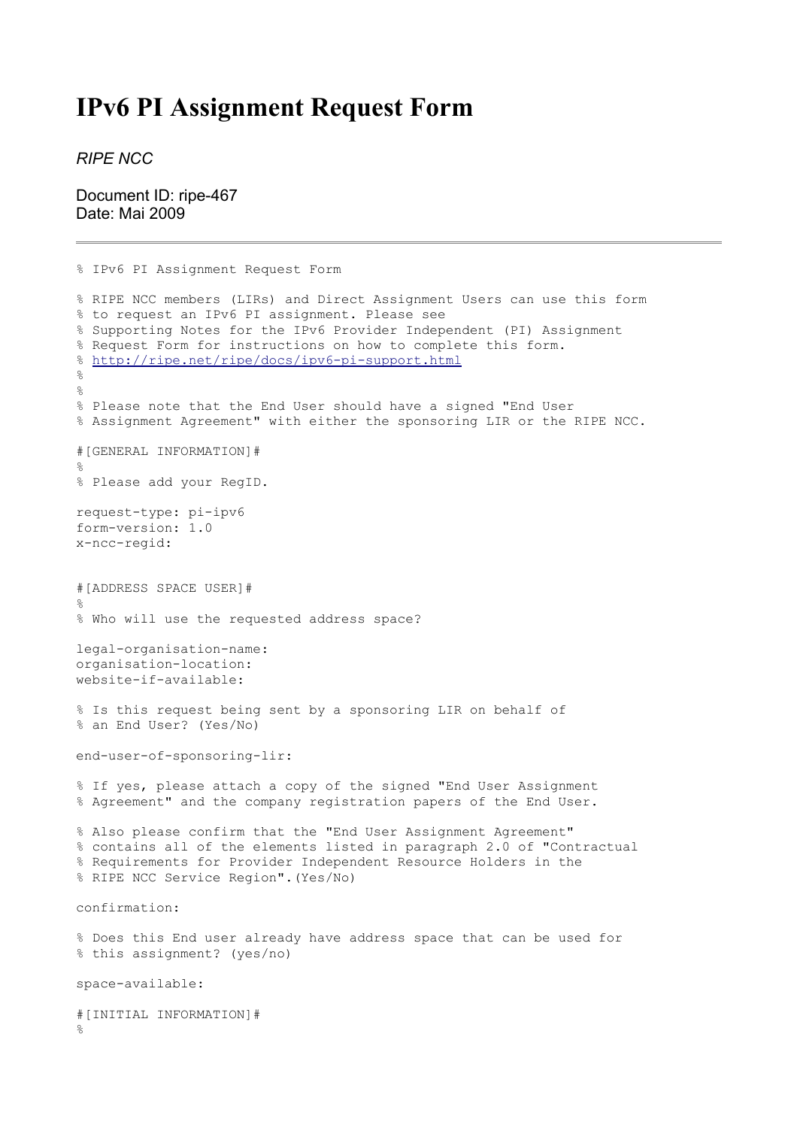## **IPv6 PI Assignment Request Form**

*RIPE NCC*

Document ID: ripe-467 Date: Mai 2009

```
% IPv6 PI Assignment Request Form
% RIPE NCC members (LIRs) and Direct Assignment Users can use this form
% to request an IPv6 PI assignment. Please see
% Supporting Notes for the IPv6 Provider Independent (PI) Assignment
% Request Form for instructions on how to complete this form.
% http://ripe.net/ripe/docs/ipv6-pi-support.html
\approx\approx% Please note that the End User should have a signed "End User
% Assignment Agreement" with either the sponsoring LIR or the RIPE NCC.
#[GENERAL INFORMATION]#
\mathbf{Q}% Please add your RegID.
request-type: pi-ipv6
form-version: 1.0
x-ncc-regid:
#[ADDRESS SPACE USER]#
\approx% Who will use the requested address space?
legal-organisation-name:
organisation-location:
website-if-available:
% Is this request being sent by a sponsoring LIR on behalf of
% an End User? (Yes/No)
end-user-of-sponsoring-lir:
% If yes, please attach a copy of the signed "End User Assignment
% Agreement" and the company registration papers of the End User.
% Also please confirm that the "End User Assignment Agreement"
% contains all of the elements listed in paragraph 2.0 of "Contractual
% Requirements for Provider Independent Resource Holders in the
% RIPE NCC Service Region".(Yes/No)
confirmation:
% Does this End user already have address space that can be used for
% this assignment? (yes/no)
space-available:
#[INITIAL INFORMATION]#
\approx
```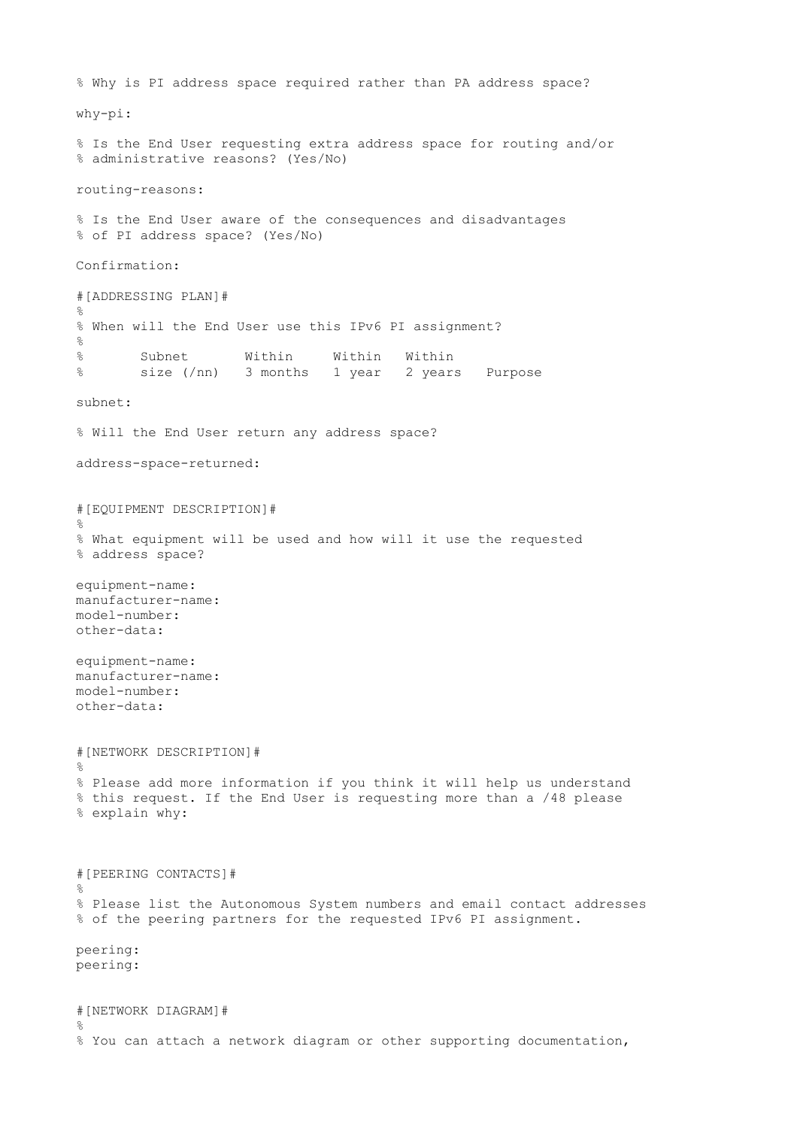```
% Why is PI address space required rather than PA address space?
why-pi:
% Is the End User requesting extra address space for routing and/or
% administrative reasons? (Yes/No)
routing-reasons:
% Is the End User aware of the consequences and disadvantages
% of PI address space? (Yes/No)
Confirmation:
#[ADDRESSING PLAN]#
%
% When will the End User use this IPv6 PI assignment?
\approx% Subnet Within Within Within
% size (/nn) 3 months 1 year 2 years Purpose
subnet:
% Will the End User return any address space?
address-space-returned:
#[EQUIPMENT DESCRIPTION]#
\frac{1}{2}% What equipment will be used and how will it use the requested
% address space?
equipment-name:
manufacturer-name:
model-number:
other-data:
equipment-name:
manufacturer-name:
model-number:
other-data:
#[NETWORK DESCRIPTION]#
%
% Please add more information if you think it will help us understand
% this request. If the End User is requesting more than a /48 please
% explain why:
#[PEERING CONTACTS]#
\mathbf{Q}% Please list the Autonomous System numbers and email contact addresses
% of the peering partners for the requested IPv6 PI assignment.
peering:
peering:
#[NETWORK DIAGRAM]#
\circ% You can attach a network diagram or other supporting documentation,
```